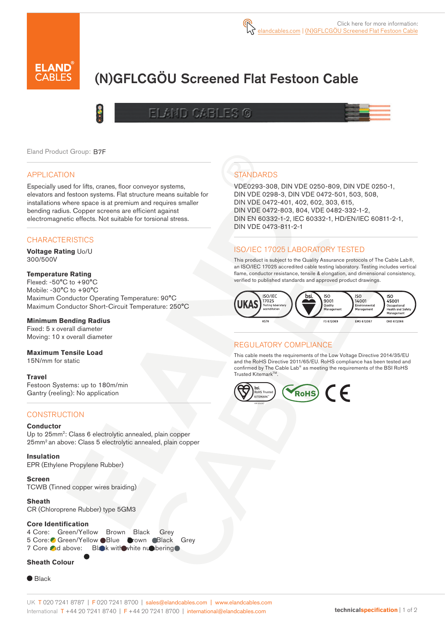

# (N)GFLCGÖU Screened Flat Festoon Cable

# ELAND CABLES G



Eland Product Group: B7F

#### APPLICATION

Especially used for lifts, cranes, floor conveyor systems, elevators and festoon systems. Flat structure means suitable for installations where space is at premium and requires smaller bending radius. Copper screens are efficient against electromagnetic effects. Not suitable for torsional stress.

#### **CHARACTERISTICS**

**Voltage Rating** Uo/U 300/500V

#### **Temperature Rating**

Flexed: -50°C to +90°C Mobile: -30°C to +90°C Maximum Conductor Operating Temperature: 90°C Maximum Conductor Short-Circuit Temperature: 250°C

#### **Minimum Bending Radius**

Fixed: 5 x overall diameter Moving: 10 x overall diameter

#### **Maximum Tensile Load**

15N/mm for static

#### **Travel**

Festoon Systems: up to 180m/min Gantry (reeling): No application

#### **CONSTRUCTION**

#### **Conductor**

Up to 25mm<sup>2</sup>: Class 6 electrolytic annealed, plain copper 25mm2 an above: Class 5 electrolytic annealed, plain copper

**Insulation**

EPR (Ethylene Propylene Rubber)

**Screen** TCWB (Tinned copper wires braiding)

**Sheath**

CR (Chloroprene Rubber) type 5GM3

#### **Core Identification**

4 Core: Green/Yellow Brown Black Grey 5 Core: Green/Yellow Blue Grown Black Grey 7 Core and above: Black with white numbering

#### **Sheath Colour**

● Black

## **STANDARDS**

VDE0293-308, DIN VDE 0250-809, DIN VDE 0250-1, DIN VDE 0298-3, DIN VDE 0472-501, 503, 508, DIN VDE 0472-401, 402, 602, 303, 615, DIN VDE 0472-803, 804, VDE 0482-332-1-2, DIN EN 60332-1-2, IEC 60332-1, HD/EN/IEC 60811-2-1, DIN VDE 0473-811-2-1

### ISO/IEC 17025 LABORATORY TESTED

This product is subject to the Quality Assurance protocols of The Cable Lab®, an ISO/IEC 17025 accredited cable testing laboratory. Testing includes vertical flame, conductor resistance, tensile & elongation, and dimensional consistency, verified to published standards and approved product drawings.



#### REGULATORY COMPLIANCE

This cable meets the requirements of the Low Voltage Directive 2014/35/EU and the RoHS Directive 2011/65/EU. RoHS compliance has been tested and confirmed by The Cable Lab® as meeting the requirements of the BSI RoHS Trusted Kitemark™.

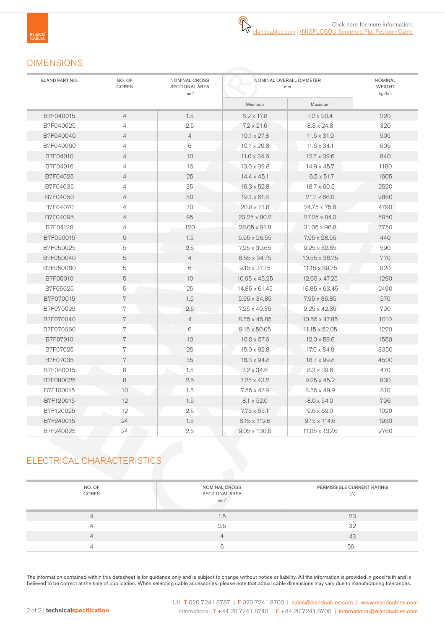### DIMENSIONS

| ELAND PART NO. | NO. OF<br>CORES | NOMINAL CROSS<br>SECTIONAL AREA<br>mm <sup>2</sup> | NOMINAL OVERALL DIAMETER<br>mm |                     | NOMINAL<br><b>WEIGHT</b><br>kg/km |
|----------------|-----------------|----------------------------------------------------|--------------------------------|---------------------|-----------------------------------|
|                |                 |                                                    | Minimum                        | Maximum             |                                   |
| B7F040015      | $\overline{4}$  | 1.5                                                | $6.2 \times 17.8$              | $7.2 \times 20.4$   | 220                               |
| B7F040025      | $\overline{4}$  | 2.5                                                | $7.2 \times 21.6$              | $8.3 \times 24.8$   | 320                               |
| B7F040040      | $\overline{4}$  | $\overline{4}$                                     | $10.1 \times 27.8$             | $11.6 \times 31.9$  | 505                               |
| B7F040060      | $\overline{4}$  | 6                                                  | $10.1 \times 29.8$             | $11.6 \times 34.1$  | 605                               |
| B7F04010       | $\overline{4}$  | 10                                                 | $11.0 \times 34.6$             | $12.7 \times 39.6$  | 840                               |
| B7F04016       | $\overline{4}$  | 16                                                 | 13.0 x 39.8                    | $14.9 \times 45.7$  | 1180                              |
| B7F04025       | $\overline{4}$  | 25                                                 | $14.4 \times 45.1$             | $16.5 \times 51.7$  | 1605                              |
| B7F04035       | $\overline{4}$  | 35                                                 | $16.3 \times 52.8$             | $18.7 \times 60.5$  | 2520                              |
| B7F04050       | $\overline{4}$  | 50                                                 | $19.1 \times 61.8$             | $21.7 \times 66.0$  | 2860                              |
| B7F04070       | $\overline{4}$  | 70                                                 | $20.8 \times 71.8$             | 24.75 x 75.8        | 4790                              |
| B7F04095       | $\overline{4}$  | 95                                                 | $23.25 \times 80.2$            | $27.25 \times 84.0$ | 5950                              |
| B7F04120       | $\overline{4}$  | 120                                                | 28.05 x 91.8                   | 31.05 x 96.8        | 7750                              |
| B7F050015      | 5               | 1.5                                                | 5.95 x 26.55                   | 7.95 x 28.55        | 440                               |
| B7F050025      | 5               | 2.5                                                | $7.25 \times 30.65$            | $9.25 \times 32.65$ | 590                               |
| B7F050040      | $\overline{5}$  | $\overline{4}$                                     | 8.55 x 34.75                   | 10.55 x 36.75       | 770                               |
| B7F050060      | 5               | 6                                                  | $9.15 \times 37.75$            | 11.15 x 39.75       | 920                               |
| B7F05010       | 5               | 10                                                 | 10.65 x 45.25                  | 12.65 x 47.25       | 1290                              |
| B7F05025       | 5               | 25                                                 | 14.85 x 61.45                  | 16.85 x 63.45       | 2490                              |
| B7F070015      | 7               | 1.5                                                | $5.95 \times 34.85$            | 7.95 x 36.85        | 570                               |
| B7F070025      | 7               | 2.5                                                | $7.25 \times 40.35$            | $9.25 \times 42.35$ | 790                               |
| B7F070040      | 7               | $\overline{4}$                                     | 8.55 x 45.85                   | 10.55 x 47.85       | 1010                              |
| B7F070060      | $\,7$           | 6                                                  | $9.15 \times 50.05$            | 11.15 x 52.05       | 1220                              |
| B7F07010       | $\overline{7}$  | 10                                                 | $10.0 \times 57.6$             | $12.0 \times 59.6$  | 1550                              |
| B7F07025       | 7               | 25                                                 | $15.0 \times 82.8$             | $17.0 \times 84.8$  | 3350                              |
| B7F07035       | $\overline{7}$  | 35                                                 | $16.3 \times 94.8$             | 18.7 x 99.8         | 4500                              |
| B7F080015      | 8               | 1.5                                                | $7.2 \times 34.6$              | $8.3 \times 39.6$   | 470                               |
| B7F080025      | 8               | 2.5                                                | $7.25 \times 43.2$             | $9.25 \times 45.2$  | 830                               |
| B7F100015      | 10              | 1.5                                                | $7.55 \times 47.9$             | $8.55 \times 49.9$  | 810                               |
| B7F120015      | 12              | 1.5                                                | $8.1 \times 52.0$              | $8.0 \times 54.0$   | 796                               |
| B7F120025      | 12              | 2.5                                                | $7.75 \times 65.1$             | $9.6 \times 69.0$   | 1020                              |
| B7F240015      | 24              | 1.5                                                | $8.15 \times 112.6$            | $9.15 \times 114.6$ | 1930                              |
| B7F240025      | 24              | 2.5                                                | $9.05 \times 130.6$            | 11.05 x 132.6       | 2760                              |

# ELECTRICAL CHARACTERISTICS

| NO. OF<br>CORES | NOMINAL CROSS<br><b>SECTIONAL AREA</b><br>mm <sup>2</sup> | PERMISSIBLE CURRENT RATING<br>(A) |
|-----------------|-----------------------------------------------------------|-----------------------------------|
|                 | 1.5                                                       | 23                                |
|                 | 2.5                                                       | 32                                |
|                 |                                                           | 43                                |
|                 |                                                           | 56                                |

The information contained within this datasheet is for guidance only and is subject to change without notice or liability. All the information is provided in good faith and is believed to be correct at the time of publication. When selecting cable accessories, please note that actual cable dimensions may vary due to manufacturing tolerances.